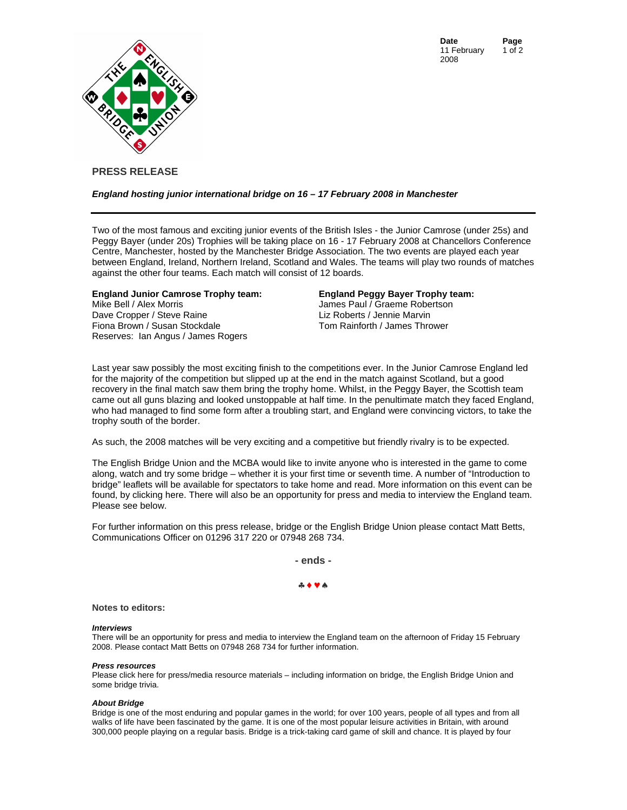**Date Page**  11 February 2008 1 of 2



# **PRESS RELEASE**

### *England hosting junior international bridge on 16 – 17 February 2008 in Manchester*

Two of the most famous and exciting junior events of the British Isles - the Junior Camrose (under 25s) and Peggy Bayer (under 20s) Trophies will be taking place on 16 - 17 February 2008 at Chancellors Conference Centre, Manchester, hosted by the Manchester Bridge Association. The two events are played each year between England, Ireland, Northern Ireland, Scotland and Wales. The teams will play two rounds of matches against the other four teams. Each match will consist of 12 boards.

### **England Junior Camrose Trophy team:**

Mike Bell / Alex Morris Dave Cropper / Steve Raine Fiona Brown / Susan Stockdale Reserves: Ian Angus / James Rogers

### **England Peggy Bayer Trophy team:**

James Paul / Graeme Robertson Liz Roberts / Jennie Marvin Tom Rainforth / James Thrower

Last year saw possibly the most exciting finish to the competitions ever. In the Junior Camrose England led for the majority of the competition but slipped up at the end in the match against Scotland, but a good recovery in the final match saw them bring the trophy home. Whilst, in the Peggy Bayer, the Scottish team came out all guns blazing and looked unstoppable at half time. In the penultimate match they faced England, who had managed to find some form after a troubling start, and England were convincing victors, to take the trophy south of the border.

As such, the 2008 matches will be very exciting and a competitive but friendly rivalry is to be expected.

The English Bridge Union and the MCBA would like to invite anyone who is interested in the game to come along, watch and try some bridge – whether it is your first time or seventh time. A number of "Introduction to bridge" leaflets will be available for spectators to take home and read. More information on this event can be found, by [clicking here.](http://www.ebu.co.uk/youth/juniorcamrose2008.htm) There will also be an opportunity for press and media to interview the England team. Please see below.

For further information on this press release, bridge or the English Bridge Union please contact Matt Betts, Communications Officer on 01296 317 220 or 07948 268 734.

**- ends -** 

## ♣♦♥♠

#### **Notes to editors:**

#### *Interviews*

There will be an opportunity for press and media to interview the England team on the afternoon of Friday 15 February 2008. Please contact Matt Betts on 07948 268 734 for further information.

#### *Press resources*

Pl[ease click here for press](http://www.ebu.co.uk/publications/Press_Releases/pressresources.htm)/media resource materials – including information on bridge, the English Bridge Union and some bridge trivia.

#### *About Bridge*

Bridge is one of the most enduring and popular games in the world; for over 100 years, people of all types and from all walks of life have been fascinated by the game. It is one of the most popular leisure activities in Britain, with around 300,000 people playing on a regular basis. Bridge is a trick-taking card game of skill and chance. It is played by four